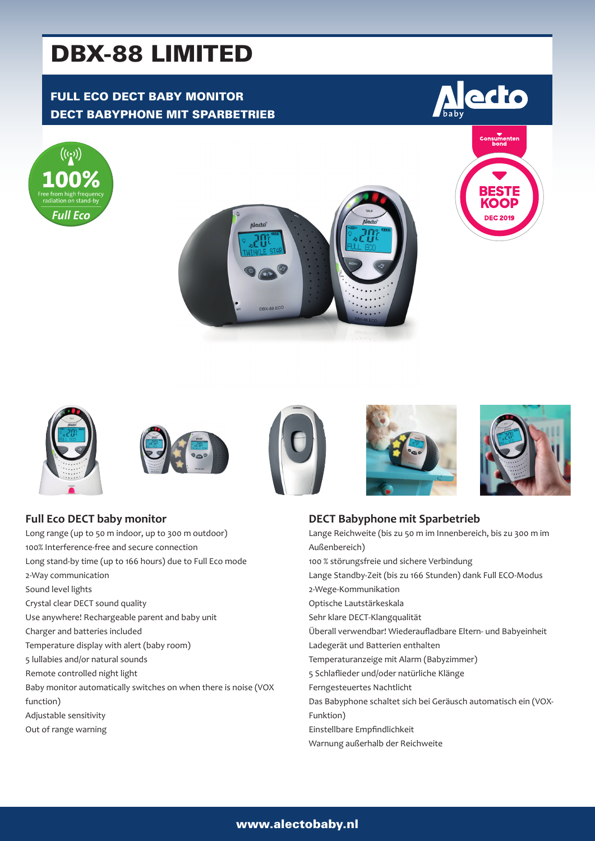# DBX-88 LIMITED

# FULL ECO DECT BABY MONITOR DECT BABYPHONE MIT SPARBETRIEB













Long range (up to 50 m indoor, up to 300 m outdoor) 100% Interference-free and secure connection Long stand-by time (up to 166 hours) due to Full Eco mode 2-Way communication Sound level lights Crystal clear DECT sound quality Use anywhere! Rechargeable parent and baby unit Charger and batteries included Temperature display with alert (baby room) 5 lullabies and/or natural sounds Remote controlled night light Baby monitor automatically switches on when there is noise (VOX function) Adjustable sensitivity Out of range warning







# **DECT Babyphone mit Sparbetrieb**

Lange Reichweite (bis zu 50 m im Innenbereich, bis zu 300 m im Außenbereich) 100 % störungsfreie und sichere Verbindung Lange Standby-Zeit (bis zu 166 Stunden) dank Full ECO-Modus 2-Wege-Kommunikation Optische Lautstärkeskala Sehr klare DECT-Klangqualität Überall verwendbar! Wiederaufladbare Eltern- und Babyeinheit Ladegerät und Batterien enthalten Temperaturanzeige mit Alarm (Babyzimmer) 5 Schlaflieder und/oder natürliche Klänge Ferngesteuertes Nachtlicht Das Babyphone schaltet sich bei Geräusch automatisch ein (VOX-Funktion) Einstellbare Empfindlichkeit Warnung außerhalb der Reichweite